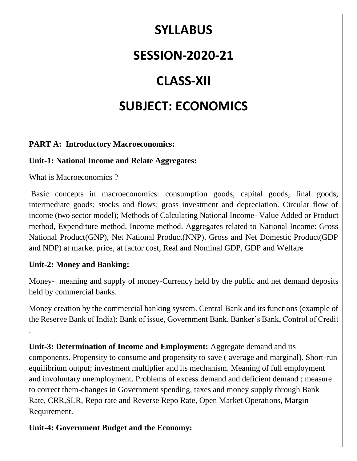## **SYLLABUS**

### **SESSION-2020-21**

# **CLASS-XII**

## **SUBJECT: ECONOMICS**

#### **PART A: Introductory Macroeconomics:**

#### **Unit-1: National Income and Relate Aggregates:**

What is Macroeconomics ?

Basic concepts in macroeconomics: consumption goods, capital goods, final goods, intermediate goods; stocks and flows; gross investment and depreciation. Circular flow of income (two sector model); Methods of Calculating National Income- Value Added or Product method, Expenditure method, Income method. Aggregates related to National Income: Gross National Product(GNP), Net National Product(NNP), Gross and Net Domestic Product(GDP and NDP) at market price, at factor cost, Real and Nominal GDP, GDP and Welfare

#### **Unit-2: Money and Banking:**

.

Money- meaning and supply of money-Currency held by the public and net demand deposits held by commercial banks.

Money creation by the commercial banking system. Central Bank and its functions (example of the Reserve Bank of India): Bank of issue, Government Bank, Banker's Bank, Control of Credit

**Unit-3: Determination of Income and Employment:** Aggregate demand and its components. Propensity to consume and propensity to save ( average and marginal). Short-run equilibrium output; investment multiplier and its mechanism. Meaning of full employment and involuntary unemployment. Problems of excess demand and deficient demand ; measure to correct them-changes in Government spending, taxes and money supply through Bank Rate, CRR,SLR, Repo rate and Reverse Repo Rate, Open Market Operations, Margin Requirement.

**Unit-4: Government Budget and the Economy:**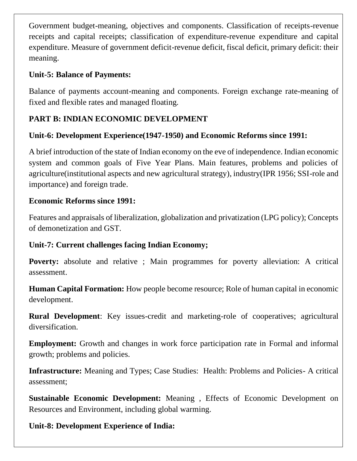Government budget-meaning, objectives and components. Classification of receipts-revenue receipts and capital receipts; classification of expenditure-revenue expenditure and capital expenditure. Measure of government deficit-revenue deficit, fiscal deficit, primary deficit: their meaning.

#### **Unit-5: Balance of Payments:**

Balance of payments account-meaning and components. Foreign exchange rate-meaning of fixed and flexible rates and managed floating.

#### **PART B: INDIAN ECONOMIC DEVELOPMENT**

#### **Unit-6: Development Experience(1947-1950) and Economic Reforms since 1991:**

A brief introduction of the state of Indian economy on the eve of independence. Indian economic system and common goals of Five Year Plans. Main features, problems and policies of agriculture(institutional aspects and new agricultural strategy), industry(IPR 1956; SSI-role and importance) and foreign trade.

#### **Economic Reforms since 1991:**

Features and appraisals of liberalization, globalization and privatization (LPG policy); Concepts of demonetization and GST.

#### **Unit-7: Current challenges facing Indian Economy;**

Poverty: absolute and relative ; Main programmes for poverty alleviation: A critical assessment.

**Human Capital Formation:** How people become resource; Role of human capital in economic development.

**Rural Development**: Key issues-credit and marketing-role of cooperatives; agricultural diversification.

**Employment:** Growth and changes in work force participation rate in Formal and informal growth; problems and policies.

**Infrastructure:** Meaning and Types; Case Studies: Health: Problems and Policies- A critical assessment;

**Sustainable Economic Development:** Meaning , Effects of Economic Development on Resources and Environment, including global warming.

**Unit-8: Development Experience of India:**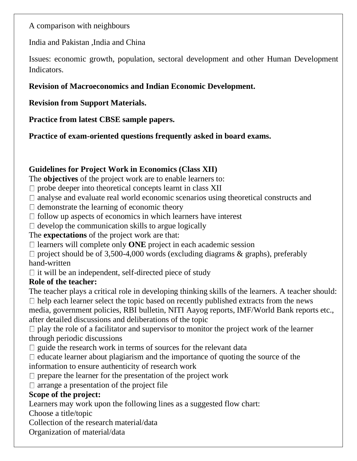A comparison with neighbours

India and Pakistan ,India and China

Issues: economic growth, population, sectoral development and other Human Development Indicators.

#### **Revision of Macroeconomics and Indian Economic Development.**

**Revision from Support Materials.**

**Practice from latest CBSE sample papers.**

**Practice of exam-oriented questions frequently asked in board exams.**

#### **Guidelines for Project Work in Economics (Class XII)**

The **objectives** of the project work are to enable learners to:

- $\Box$  probe deeper into theoretical concepts learnt in class XII
- $\Box$  analyse and evaluate real world economic scenarios using theoretical constructs and
- $\Box$  demonstrate the learning of economic theory
- $\Box$  follow up aspects of economics in which learners have interest
- $\Box$  develop the communication skills to argue logically

#### The **expectations** of the project work are that:

- $\Box$  learners will complete only **ONE** project in each academic session
- $\Box$  project should be of 3,500-4,000 words (excluding diagrams & graphs), preferably hand-written
- $\Box$  it will be an independent, self-directed piece of study

#### **Role of the teacher:**

The teacher plays a critical role in developing thinking skills of the learners. A teacher should:

 $\Box$  help each learner select the topic based on recently published extracts from the news media, government policies, RBI bulletin, NITI Aayog reports, IMF/World Bank reports etc., after detailed discussions and deliberations of the topic

 $\Box$  play the role of a facilitator and supervisor to monitor the project work of the learner through periodic discussions

- $\Box$  guide the research work in terms of sources for the relevant data
- $\Box$  educate learner about plagiarism and the importance of quoting the source of the
- information to ensure authenticity of research work
- $\Box$  prepare the learner for the presentation of the project work
- $\Box$  arrange a presentation of the project file

#### **Scope of the project:**

Learners may work upon the following lines as a suggested flow chart:

Choose a title/topic

- Collection of the research material/data
- Organization of material/data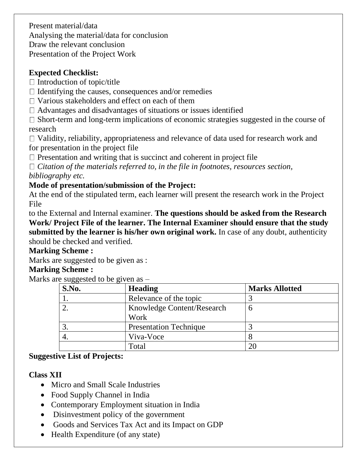Present material/data Analysing the material/data for conclusion Draw the relevant conclusion Presentation of the Project Work

#### **Expected Checklist:**

 $\Box$  Introduction of topic/title

- $\Box$  Identifying the causes, consequences and/or remedies
- $\Box$  Various stakeholders and effect on each of them
- $\Box$  Advantages and disadvantages of situations or issues identified

 $\Box$  Short-term and long-term implications of economic strategies suggested in the course of research

 $\Box$  Validity, reliability, appropriateness and relevance of data used for research work and for presentation in the project file

 $\Box$  Presentation and writing that is succinct and coherent in project file

*Citation of the materials referred to, in the file in footnotes, resources section,*

*bibliography etc.*

#### **Mode of presentation/submission of the Project:**

At the end of the stipulated term, each learner will present the research work in the Project File

to the External and Internal examiner. **The questions should be asked from the Research Work/ Project File of the learner. The Internal Examiner should ensure that the study submitted by the learner is his/her own original work.** In case of any doubt, authenticity should be checked and verified.

#### **Marking Scheme :**

Marks are suggested to be given as :

#### **Marking Scheme :**

Marks are suggested to be given as  $-$ 

| S.No. | <b>Heading</b>                | <b>Marks Allotted</b> |
|-------|-------------------------------|-----------------------|
|       | Relevance of the topic        |                       |
|       | Knowledge Content/Research    |                       |
|       | Work                          |                       |
|       | <b>Presentation Technique</b> |                       |
|       | Viva-Voce                     |                       |
|       | Total                         |                       |

#### **Suggestive List of Projects:**

#### **Class XII**

- Micro and Small Scale Industries
- Food Supply Channel in India
- Contemporary Employment situation in India
- Disinvestment policy of the government
- Goods and Services Tax Act and its Impact on GDP
- Health Expenditure (of any state)